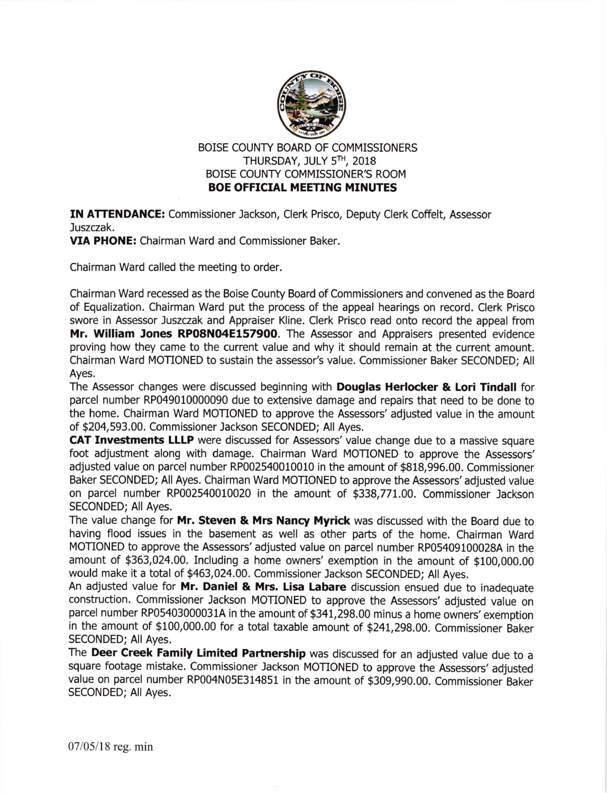

BOISE COUNTY BOARD OF COMMISSIONERS THURSDAY, JULY 5TH, 2018 BOISE COUNTY COMMISSIONER'S ROOM BOE OFFICIAL MEETING MINUTES

**IN ATTENDANCE:** Commissioner Jackson, Clerk Prisco, Deputy Clerk Coffelt, Assessor Juszczak.

VIA PHONE: Chairman Ward and Commissioner Baker.

Chairman Ward called the meeting to order.

Chairman Ward recessed as the Boise County Board of Commissioners and convened as the Board of Equalization. Chalrman Ward put the process of the appeal hearings on record. Clerk Prisco swore in Assessor Juszczak and Appraiser Kline. Clerk Prisco read onto record the appeal from Mr. William Jones RP08N04E157900. The Assessor and Appraisers presented evidence proving how they came to the current value and why it should remain at the current amount. Chairman Ward MOTIONED to sustain the assessor's value. Commissioner Eaker SECONDED; All Ayes.

The Assessor changes were discussed beginning with **Douglas Herlocker & Lori Tindall** for parcel number RP049010000090 due to extensive damage and repairs that need to be done to the home. Chalrman Ward MOTIONED to approve the Assessors' adjusted value in the amount of \$204,593.00. Commissioner Jackson SECONDED; All Ayes.

CAT Investments LLLP were discussed for Assessors' value change due to a massive square foot adjustment along with damage. Chairman Ward MOTIONED to approve the Assessors' adjusted value on parcel number RP002540010010 in the amount of \$818,996.00. Commissioner Baker SECONDED; All Ayes. Chalrman Ward MOTIONED to approve the Assessors' adjusted value on parcel number RP002540010020 in the amount of \$338,771.00. Commissioner Jackson SECONDED; All Ayes.

The value change for Mr. Steven & Mrs Nancy Myrick was discussed with the Board due to having flood issues in the basement as well as other parts of the home. Chairman Ward MOTIONED to approve the Assessors' adjusted value on parcel number RP05409100028A in the amount of \$363,024.00. Including a home owners' exemption in the amount of \$100,000.00 would make it a total of \$463,024.00. Commissioner Jackson SECONDED; All Ayes.

An adjusted value for Mr. Daniel & Mrs. Lisa Labare discussion ensued due to inadequate construction. commissioner lackson MoTIoNED to approve the Assessors' adjusted value on parcel number RP05403000031A in the amount of \$341,298.00 minus a home owners' exemption in the amount of \$100,000.00 for a total taxable amount of \$241,298.00. Commissioner Baker SECONDED; All Ayes.

The Deer Creek Family Limited Partnership was discussed for an adjusted value due to a square footage mistake. commissioner Jackson MoTIoNED to approve the Assessors' adjusted value on parcel number RP004N05E314851 in the amount of \$309,990.00. Commissioner Baker SECONDED; All Ayes.